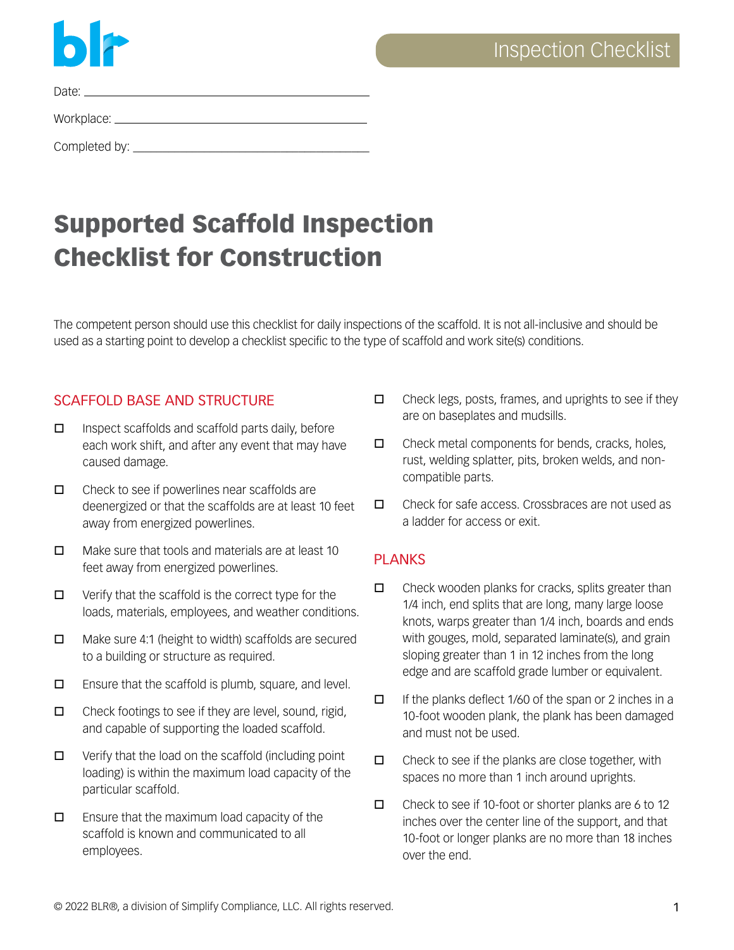

Date:

Workplace:

Completed by: \_\_\_\_\_\_\_\_\_\_\_\_\_\_\_\_\_\_\_\_\_\_\_\_\_\_\_\_\_\_\_\_\_\_\_\_\_\_\_\_

# Supported Scaffold Inspection Checklist for Construction

The competent person should use this checklist for daily inspections of the scaffold. It is not all-inclusive and should be used as a starting point to develop a checklist specific to the type of scaffold and work site(s) conditions.

## SCAFFOLD BASE AND STRUCTURE

- $\Box$  Inspect scaffolds and scaffold parts daily, before each work shift, and after any event that may have caused damage.
- $\Box$  Check to see if powerlines near scaffolds are deenergized or that the scaffolds are at least 10 feet away from energized powerlines.
- $\Box$  Make sure that tools and materials are at least 10 feet away from energized powerlines.
- $\Box$  Verify that the scaffold is the correct type for the loads, materials, employees, and weather conditions.
- $\Box$  Make sure 4:1 (height to width) scaffolds are secured to a building or structure as required.
- $\Box$  Ensure that the scaffold is plumb, square, and level.
- $\Box$  Check footings to see if they are level, sound, rigid, and capable of supporting the loaded scaffold.
- $\Box$  Verify that the load on the scaffold (including point loading) is within the maximum load capacity of the particular scaffold.
- $\Box$  Ensure that the maximum load capacity of the scaffold is known and communicated to all employees.
- $\Box$  Check legs, posts, frames, and uprights to see if they are on baseplates and mudsills.
- $\Box$  Check metal components for bends, cracks, holes, rust, welding splatter, pits, broken welds, and noncompatible parts.
- $\Box$  Check for safe access. Crossbraces are not used as a ladder for access or exit.

## PLANKS

- $\Box$  Check wooden planks for cracks, splits greater than 1/4 inch, end splits that are long, many large loose knots, warps greater than 1/4 inch, boards and ends with gouges, mold, separated laminate(s), and grain sloping greater than 1 in 12 inches from the long edge and are scaffold grade lumber or equivalent.
- $\Box$  If the planks deflect 1/60 of the span or 2 inches in a 10-foot wooden plank, the plank has been damaged and must not be used.
- $\Box$  Check to see if the planks are close together, with spaces no more than 1 inch around uprights.
- $\Box$  Check to see if 10-foot or shorter planks are 6 to 12 inches over the center line of the support, and that 10-foot or longer planks are no more than 18 inches over the end.